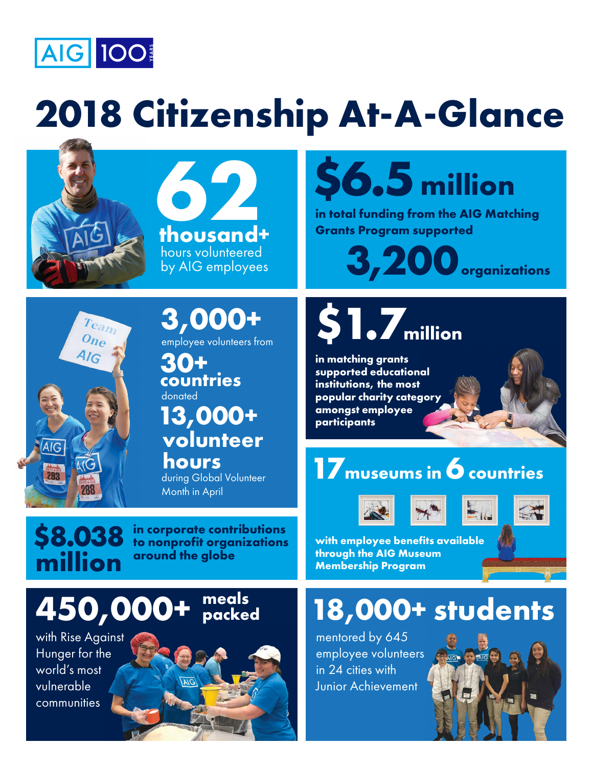

### **2018 Citizenship At-A-Glance**





### **\$6.5 million**

**in total funding from the AIG Matching Grants Pr ogram suppor ted**

**3, 200 organizations**



**3,000+**

employee volunteers from

countries donated

# **13,000+ volunteer**

 **hours** during Global Volunteer Month in April

## **\$1.7million**

**in matching grants supported educational institutions, the most popular charity category amongst employee participants**

#### **17museums in 6 countries**

 $\overline{\text{million}}$ 

**\$8.038** in corporate contributions<br> **S8.038** to nonprofit organizations<br> **S8.038** around the alobe **to nonprofit organizations** 

#### **450,000+ meals packed**

with Rise Against Hunger for the world's most vulnerable **communities** 







 $=$ 

**with employee benefits available through the AIG Museum Membership Program**

### **18,000+ students**

mentored by 645 mentored by 045<br>employee volunteers in 24 cities with Junior Achievement